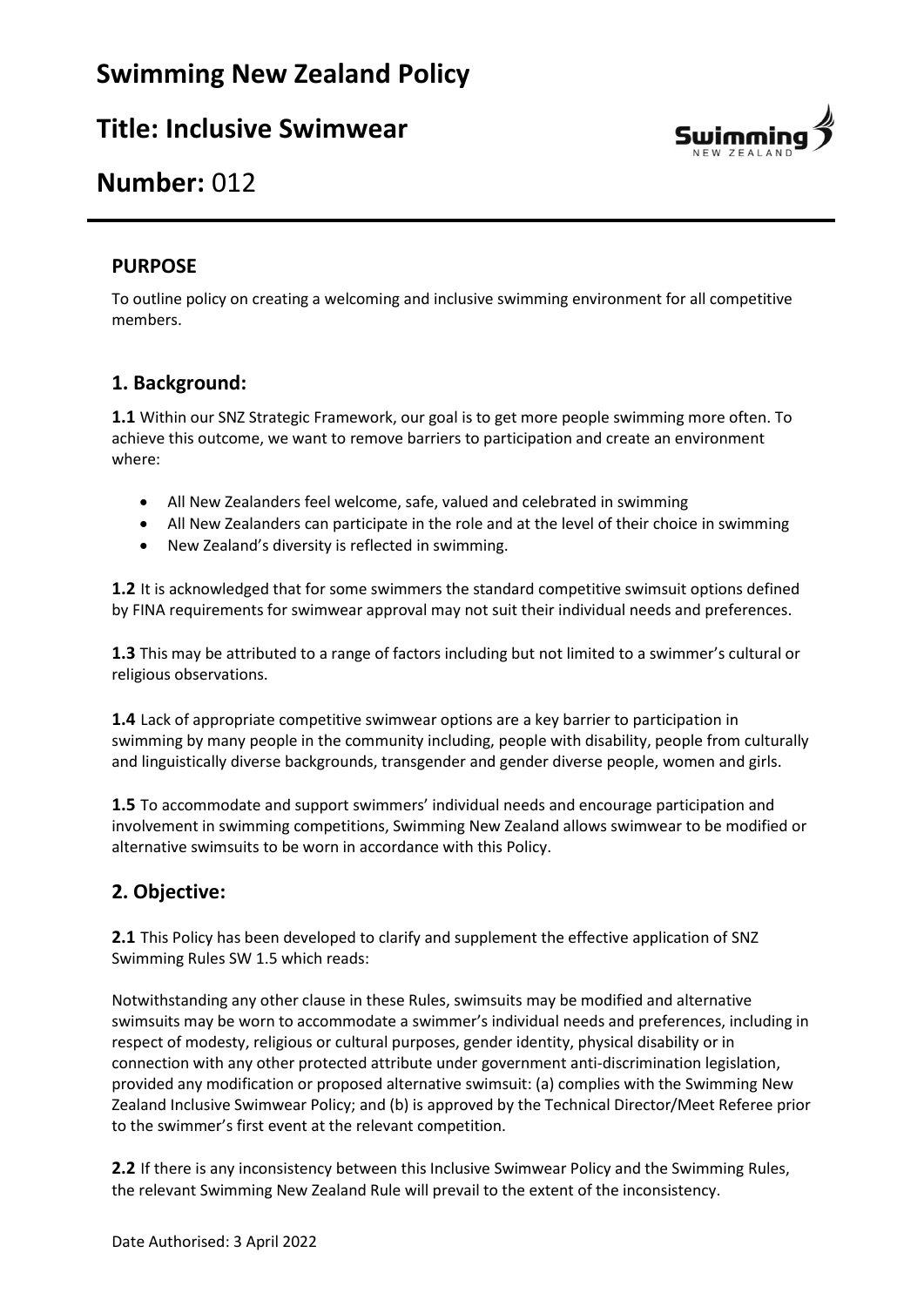

## **Number:** 012

#### **PURPOSE**

To outline policy on creating a welcoming and inclusive swimming environment for all competitive members.

#### **1. Background:**

**1.1** Within our SNZ Strategic Framework, our goal is to get more people swimming more often. To achieve this outcome, we want to remove barriers to participation and create an environment where:

- All New Zealanders feel welcome, safe, valued and celebrated in swimming
- All New Zealanders can participate in the role and at the level of their choice in swimming
- New Zealand's diversity is reflected in swimming.

**1.2** It is acknowledged that for some swimmers the standard competitive swimsuit options defined by FINA requirements for swimwear approval may not suit their individual needs and preferences.

**1.3** This may be attributed to a range of factors including but not limited to a swimmer's cultural or religious observations.

**1.4** Lack of appropriate competitive swimwear options are a key barrier to participation in swimming by many people in the community including, people with disability, people from culturally and linguistically diverse backgrounds, transgender and gender diverse people, women and girls.

**1.5** To accommodate and support swimmers' individual needs and encourage participation and involvement in swimming competitions, Swimming New Zealand allows swimwear to be modified or alternative swimsuits to be worn in accordance with this Policy.

### **2. Objective:**

**2.1** This Policy has been developed to clarify and supplement the effective application of SNZ Swimming Rules SW 1.5 which reads:

Notwithstanding any other clause in these Rules, swimsuits may be modified and alternative swimsuits may be worn to accommodate a swimmer's individual needs and preferences, including in respect of modesty, religious or cultural purposes, gender identity, physical disability or in connection with any other protected attribute under government anti-discrimination legislation, provided any modification or proposed alternative swimsuit: (a) complies with the Swimming New Zealand Inclusive Swimwear Policy; and (b) is approved by the Technical Director/Meet Referee prior to the swimmer's first event at the relevant competition.

**2.2** If there is any inconsistency between this Inclusive Swimwear Policy and the Swimming Rules, the relevant Swimming New Zealand Rule will prevail to the extent of the inconsistency.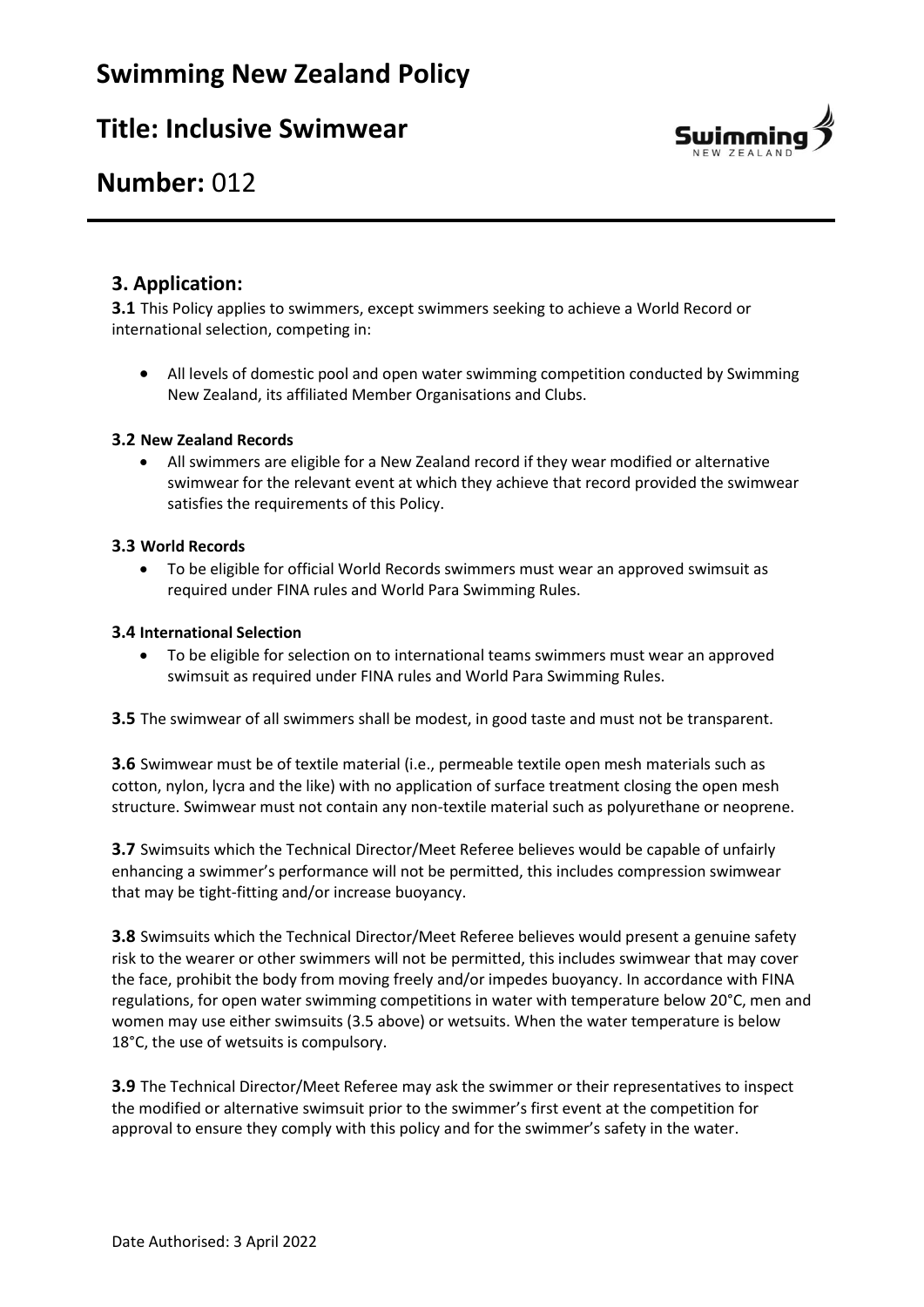

## **Number:** 012

### **3. Application:**

**3.1** This Policy applies to swimmers, except swimmers seeking to achieve a World Record or international selection, competing in:

• All levels of domestic pool and open water swimming competition conducted by Swimming New Zealand, its affiliated Member Organisations and Clubs.

#### **3.2 New Zealand Records**

• All swimmers are eligible for a New Zealand record if they wear modified or alternative swimwear for the relevant event at which they achieve that record provided the swimwear satisfies the requirements of this Policy.

#### **3.3 World Records**

• To be eligible for official World Records swimmers must wear an approved swimsuit as required under FINA rules and World Para Swimming Rules.

#### **3.4 International Selection**

• To be eligible for selection on to international teams swimmers must wear an approved swimsuit as required under FINA rules and World Para Swimming Rules.

**3.5** The swimwear of all swimmers shall be modest, in good taste and must not be transparent.

**3.6** Swimwear must be of textile material (i.e., permeable textile open mesh materials such as cotton, nylon, lycra and the like) with no application of surface treatment closing the open mesh structure. Swimwear must not contain any non-textile material such as polyurethane or neoprene.

**3.7** Swimsuits which the Technical Director/Meet Referee believes would be capable of unfairly enhancing a swimmer's performance will not be permitted, this includes compression swimwear that may be tight-fitting and/or increase buoyancy.

**3.8** Swimsuits which the Technical Director/Meet Referee believes would present a genuine safety risk to the wearer or other swimmers will not be permitted, this includes swimwear that may cover the face, prohibit the body from moving freely and/or impedes buoyancy. In accordance with FINA regulations, for open water swimming competitions in water with temperature below 20°C, men and women may use either swimsuits (3.5 above) or wetsuits. When the water temperature is below 18°C, the use of wetsuits is compulsory.

**3.9** The Technical Director/Meet Referee may ask the swimmer or their representatives to inspect the modified or alternative swimsuit prior to the swimmer's first event at the competition for approval to ensure they comply with this policy and for the swimmer's safety in the water.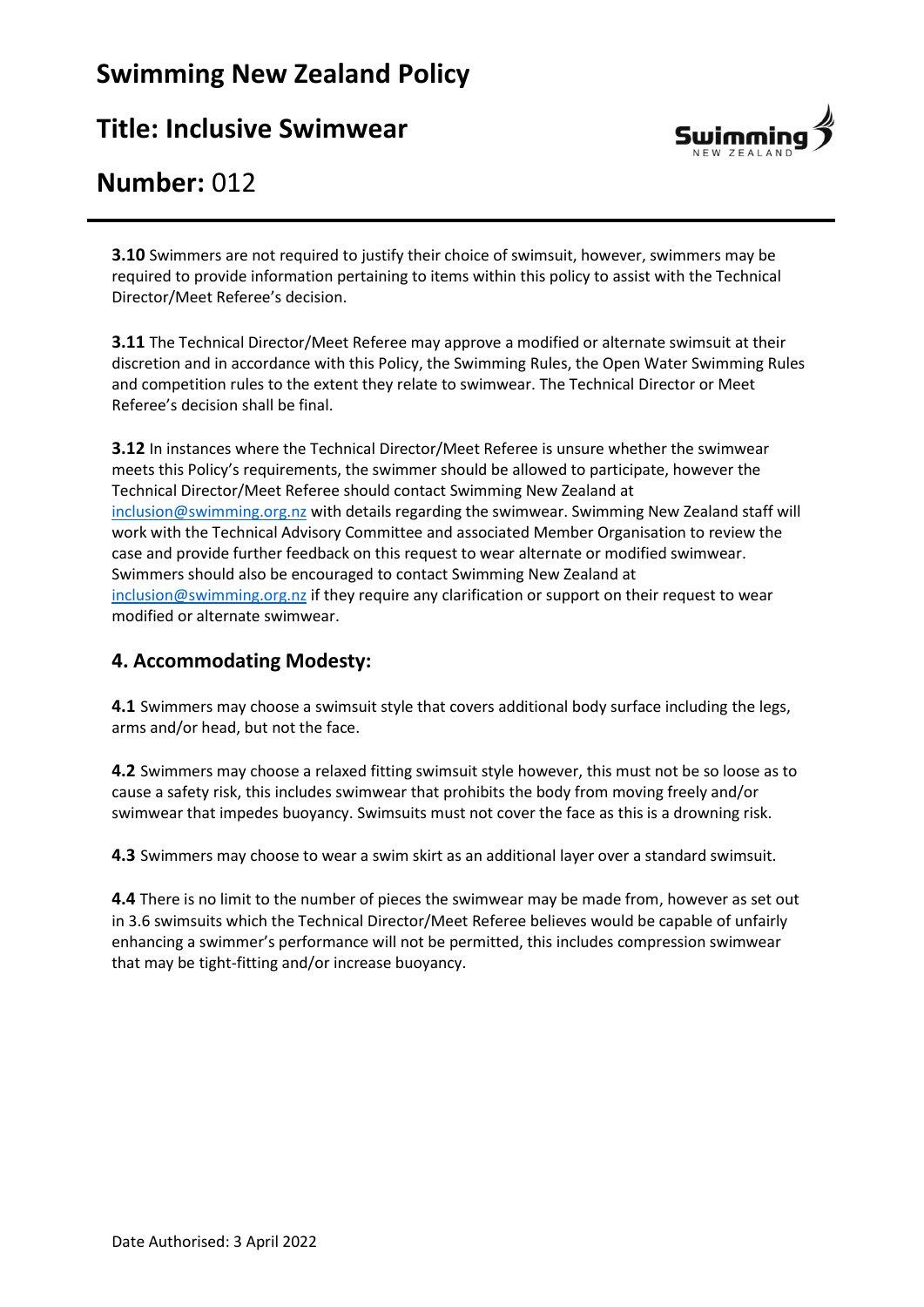# **Swimming New Zealand Policy**

## **Title: Inclusive Swimwear**



## **Number:** 012

**3.10** Swimmers are not required to justify their choice of swimsuit, however, swimmers may be required to provide information pertaining to items within this policy to assist with the Technical Director/Meet Referee's decision.

**3.11** The Technical Director/Meet Referee may approve a modified or alternate swimsuit at their discretion and in accordance with this Policy, the Swimming Rules, the Open Water Swimming Rules and competition rules to the extent they relate to swimwear. The Technical Director or Meet Referee's decision shall be final.

**3.12** In instances where the Technical Director/Meet Referee is unsure whether the swimwear meets this Policy's requirements, the swimmer should be allowed to participate, however the Technical Director/Meet Referee should contact Swimming New Zealand at [inclusion@swimming.org.nz](mailto:inclusion@swimming.org.nz) with details regarding the swimwear. Swimming New Zealand staff will work with the Technical Advisory Committee and associated Member Organisation to review the case and provide further feedback on this request to wear alternate or modified swimwear. Swimmers should also be encouraged to contact Swimming New Zealand at [inclusion@swimming.org.nz](mailto:inclusion@swimming.org.nz) if they require any clarification or support on their request to wear modified or alternate swimwear.

#### **4. Accommodating Modesty:**

**4.1** Swimmers may choose a swimsuit style that covers additional body surface including the legs, arms and/or head, but not the face.

**4.2** Swimmers may choose a relaxed fitting swimsuit style however, this must not be so loose as to cause a safety risk, this includes swimwear that prohibits the body from moving freely and/or swimwear that impedes buoyancy. Swimsuits must not cover the face as this is a drowning risk.

**4.3** Swimmers may choose to wear a swim skirt as an additional layer over a standard swimsuit.

**4.4** There is no limit to the number of pieces the swimwear may be made from, however as set out in 3.6 swimsuits which the Technical Director/Meet Referee believes would be capable of unfairly enhancing a swimmer's performance will not be permitted, this includes compression swimwear that may be tight-fitting and/or increase buoyancy.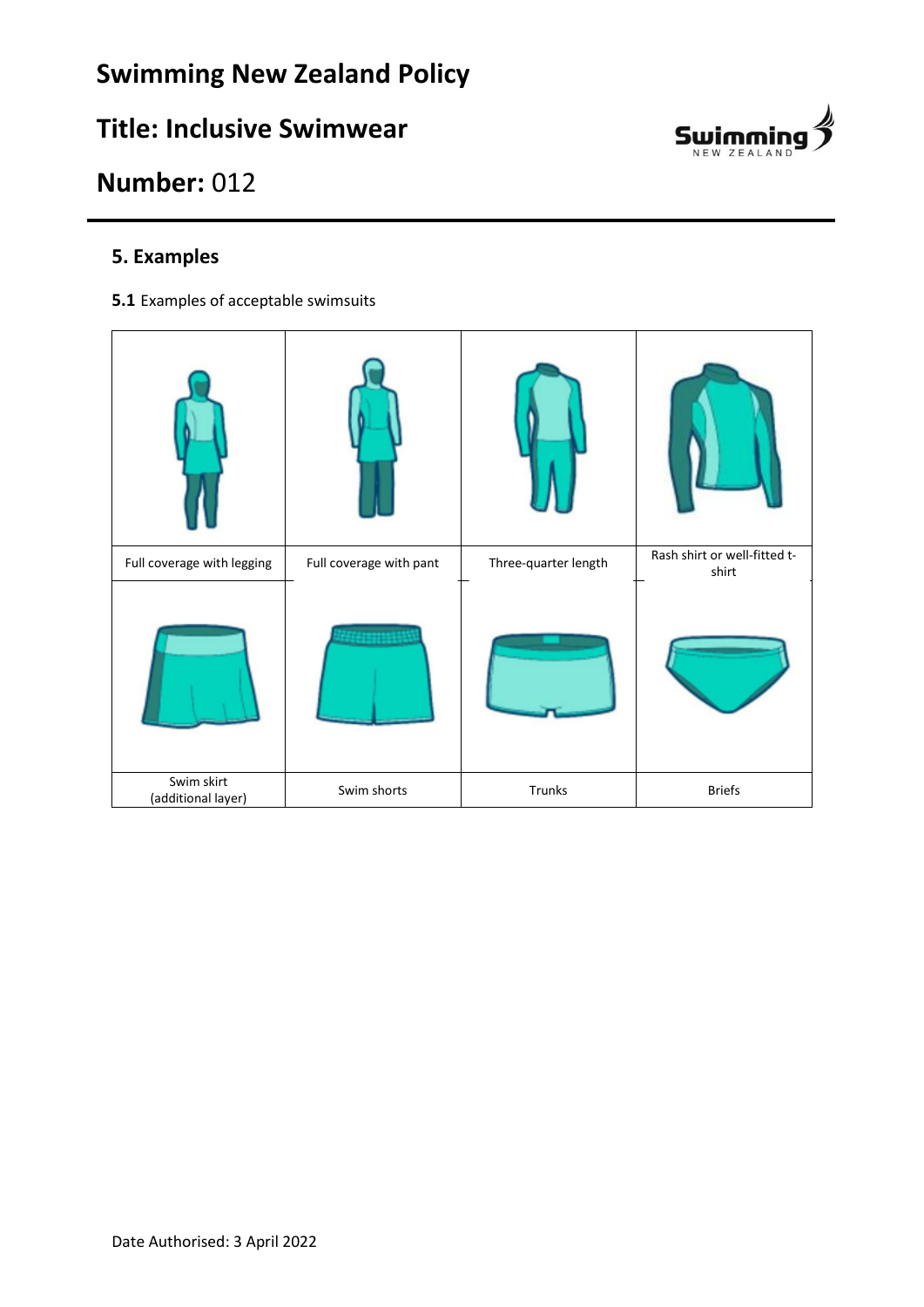

# **Number:** 012

### **5. Examples**

**5.1** Examples of acceptable swimsuits

| Full coverage with legging       | Full coverage with pant | Three-quarter length | Rash shirt or well-fitted t-<br>shirt |
|----------------------------------|-------------------------|----------------------|---------------------------------------|
|                                  |                         |                      |                                       |
| Swim skirt<br>(additional layer) | Swim shorts             | Trunks               | <b>Briefs</b>                         |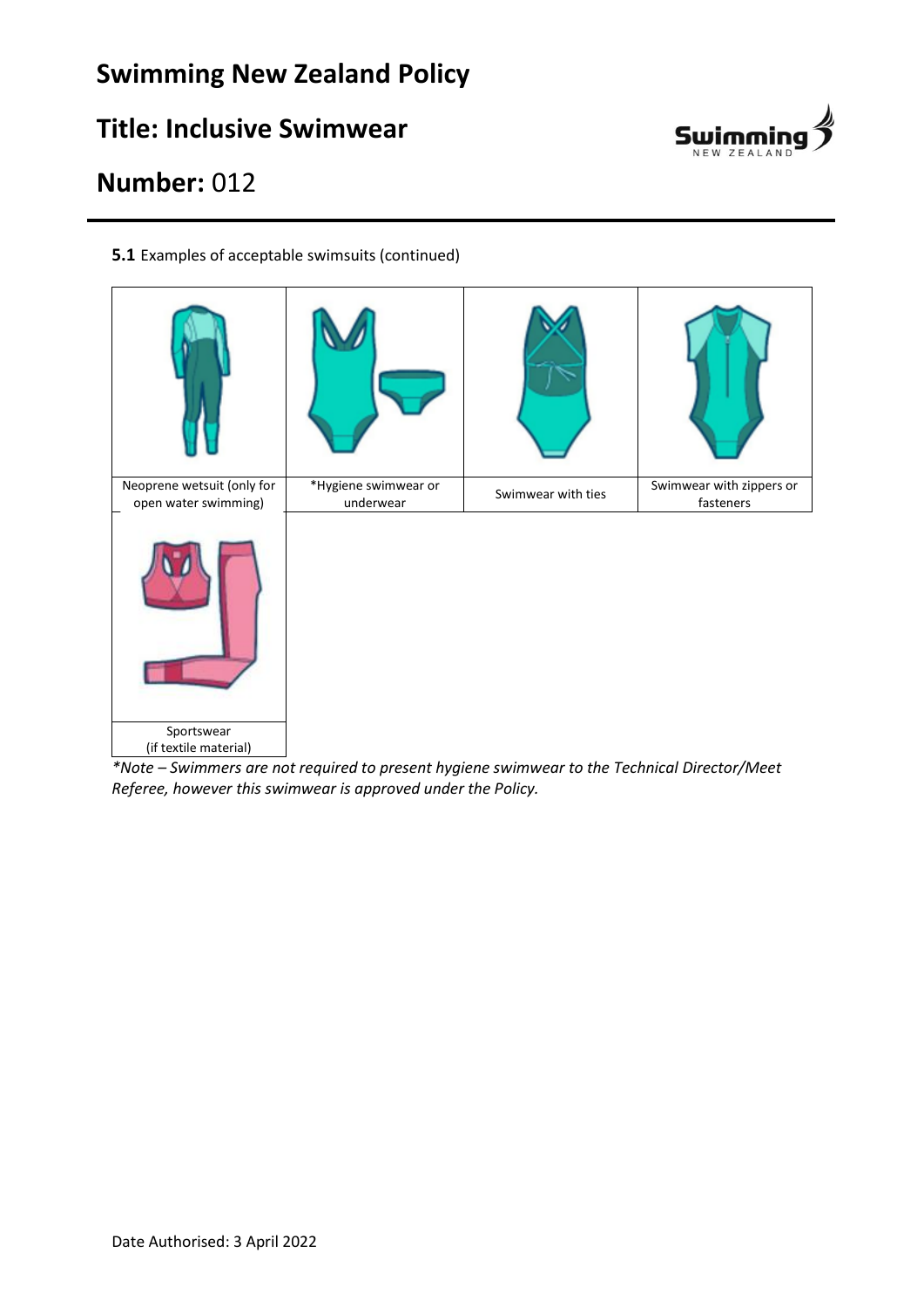# **Swimming New Zealand Policy**

# **Title: Inclusive Swimwear**



# **Number:** 012

**5.1** Examples of acceptable swimsuits (continued)



*\*Note – Swimmers are not required to present hygiene swimwear to the Technical Director/Meet Referee, however this swimwear is approved under the Policy.*